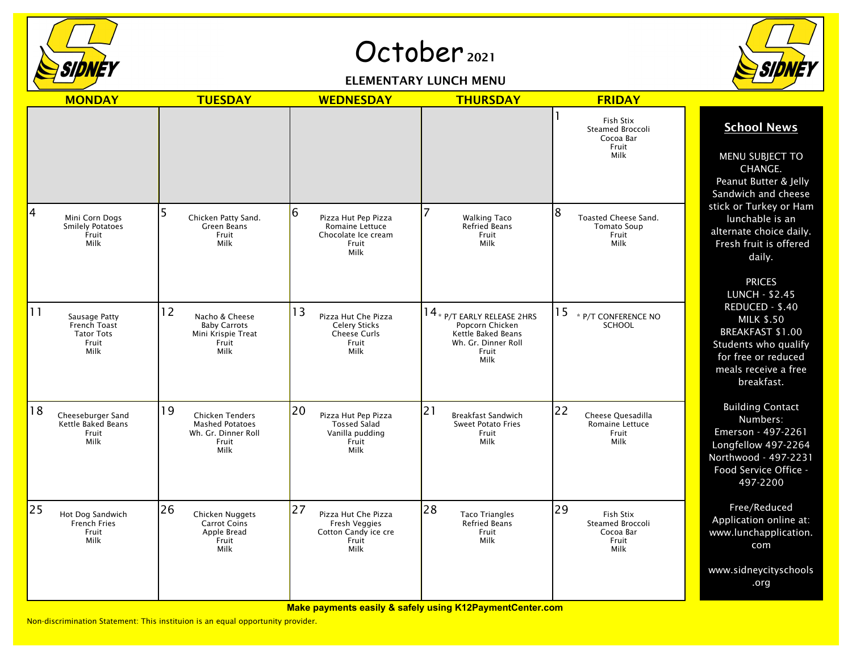

## October<sub>2021</sub>





|    | <b>MONDAY</b>                                                       | <b>TUESDAY</b>                                                                                 | <b>WEDNESDAY</b>                                                                          | <b>THURSDAY</b>                                                                                                | <b>FRIDAY</b>                                                            |                                                                                                                                                    |
|----|---------------------------------------------------------------------|------------------------------------------------------------------------------------------------|-------------------------------------------------------------------------------------------|----------------------------------------------------------------------------------------------------------------|--------------------------------------------------------------------------|----------------------------------------------------------------------------------------------------------------------------------------------------|
|    |                                                                     |                                                                                                |                                                                                           |                                                                                                                | Fish Stix<br><b>Steamed Broccoli</b><br>Cocoa Bar<br>Fruit<br>Milk       | <b>School News</b><br>MENU SUBJECT TO<br>CHANGE.<br>Peanut Butter & Jelly<br>Sandwich and cheese                                                   |
| 4  | Mini Corn Dogs<br><b>Smilely Potatoes</b><br>Fruit<br>Milk          | Chicken Patty Sand.<br>Green Beans<br>Fruit<br>Milk                                            | 16<br>Pizza Hut Pep Pizza<br>Romaine Lettuce<br>Chocolate Ice cream<br>Fruit<br>Milk      | <b>Walking Taco</b><br>Refried Beans<br>Fruit<br>Milk                                                          | 8<br>Toasted Cheese Sand.<br><b>Tomato Soup</b><br>Fruit<br>Milk         | stick or Turkey or Ham<br>lunchable is an<br>alternate choice daily.<br>Fresh fruit is offered<br>daily.<br><b>PRICES</b><br><b>LUNCH - \$2.45</b> |
| 11 | Sausage Patty<br>French Toast<br><b>Tator Tots</b><br>Fruit<br>Milk | 12<br>Nacho & Cheese<br><b>Baby Carrots</b><br>Mini Krispie Treat<br>Fruit<br>Milk             | 13<br>Pizza Hut Che Pizza<br><b>Celery Sticks</b><br><b>Cheese Curls</b><br>Fruit<br>Milk | 14 * $P/T$ early release 2HRS<br>Popcorn Chicken<br>Kettle Baked Beans<br>Wh. Gr. Dinner Roll<br>Fruit<br>Milk | 15<br>* P/T CONFERENCE NO<br><b>SCHOOL</b>                               | REDUCED - \$.40<br><b>MILK \$.50</b><br>BREAKFAST \$1.00<br>Students who qualify<br>for free or reduced<br>meals receive a free<br>breakfast.      |
| 18 | Cheeseburger Sand<br>Kettle Baked Beans<br>Fruit<br>Milk            | 19<br><b>Chicken Tenders</b><br><b>Mashed Potatoes</b><br>Wh. Gr. Dinner Roll<br>Fruit<br>Milk | 20<br>Pizza Hut Pep Pizza<br><b>Tossed Salad</b><br>Vanilla pudding<br>Fruit<br>Milk      | 21<br><b>Breakfast Sandwich</b><br><b>Sweet Potato Fries</b><br>Fruit<br>Milk                                  | 22<br>Cheese Quesadilla<br>Romaine Lettuce<br>Fruit<br>Milk              | <b>Building Contact</b><br>Numbers:<br>Emerson - 497-2261<br>Longfellow 497-2264<br>Northwood - 497-2231<br>Food Service Office -<br>497-2200      |
| 25 | Hot Dog Sandwich<br>French Fries<br>Fruit<br>Milk                   | 26<br>Chicken Nuggets<br><b>Carrot Coins</b><br>Apple Bread<br>Fruit<br>Milk                   | 27<br>Pizza Hut Che Pizza<br>Fresh Veggies<br>Cotton Candy ice cre<br>Fruit<br>Milk       | 28<br><b>Taco Triangles</b><br>Refried Beans<br>Fruit<br>Milk                                                  | 29<br>Fish Stix<br><b>Steamed Broccoli</b><br>Cocoa Bar<br>Fruit<br>Milk | Free/Reduced<br>Application online at:<br>www.lunchapplication.<br>com                                                                             |
|    |                                                                     |                                                                                                |                                                                                           |                                                                                                                |                                                                          | www.sidneycityschools<br>.org                                                                                                                      |

**Make payments easily & safely using K12PaymentCenter.com**

Non-discrimination Statement: This instituion is an equal opportunity provider.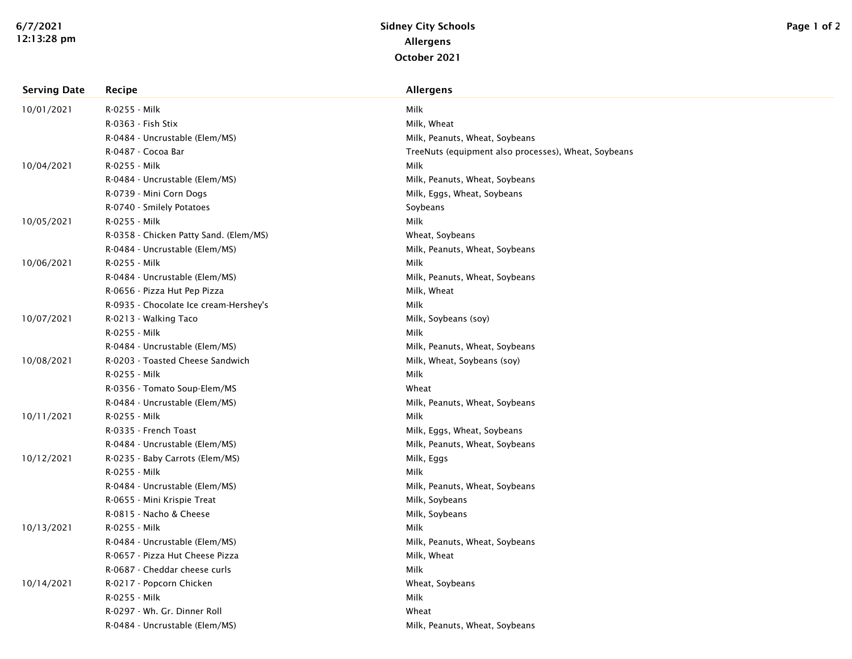| <b>Serving Date</b> | Recipe                                 | <b>Allergens</b>                                     |
|---------------------|----------------------------------------|------------------------------------------------------|
| 10/01/2021          | R-0255 - Milk                          | Milk                                                 |
|                     | R-0363 - Fish Stix                     | Milk, Wheat                                          |
|                     | R-0484 - Uncrustable (Elem/MS)         | Milk, Peanuts, Wheat, Soybeans                       |
|                     | R-0487 - Cocoa Bar                     | TreeNuts (equipment also processes), Wheat, Soybeans |
| 10/04/2021          | R-0255 - Milk                          | Milk                                                 |
|                     | R-0484 - Uncrustable (Elem/MS)         | Milk, Peanuts, Wheat, Soybeans                       |
|                     | R-0739 - Mini Corn Dogs                | Milk, Eggs, Wheat, Soybeans                          |
|                     | R-0740 - Smilely Potatoes              | Soybeans                                             |
| 10/05/2021          | R-0255 - Milk                          | Milk                                                 |
|                     | R-0358 - Chicken Patty Sand. (Elem/MS) | Wheat, Soybeans                                      |
|                     | R-0484 - Uncrustable (Elem/MS)         | Milk, Peanuts, Wheat, Soybeans                       |
| 10/06/2021          | R-0255 - Milk                          | Milk                                                 |
|                     | R-0484 - Uncrustable (Elem/MS)         | Milk, Peanuts, Wheat, Soybeans                       |
|                     | R-0656 - Pizza Hut Pep Pizza           | Milk, Wheat                                          |
|                     | R-0935 - Chocolate Ice cream-Hershey's | Milk                                                 |
| 10/07/2021          | R-0213 - Walking Taco                  | Milk, Soybeans (soy)                                 |
|                     | R-0255 - Milk                          | Milk                                                 |
|                     | R-0484 - Uncrustable (Elem/MS)         | Milk, Peanuts, Wheat, Soybeans                       |
| 10/08/2021          | R-0203 - Toasted Cheese Sandwich       | Milk, Wheat, Soybeans (soy)                          |
|                     | R-0255 - Milk                          | Milk                                                 |
|                     | R-0356 - Tomato Soup-Elem/MS           | Wheat                                                |
|                     | R-0484 - Uncrustable (Elem/MS)         | Milk, Peanuts, Wheat, Soybeans                       |
| 10/11/2021          | R-0255 - Milk                          | Milk                                                 |
|                     | R-0335 - French Toast                  | Milk, Eggs, Wheat, Soybeans                          |
|                     | R-0484 - Uncrustable (Elem/MS)         | Milk, Peanuts, Wheat, Soybeans                       |
| 10/12/2021          | R-0235 - Baby Carrots (Elem/MS)        | Milk, Eggs                                           |
|                     | R-0255 - Milk                          | Milk                                                 |
|                     | R-0484 - Uncrustable (Elem/MS)         | Milk, Peanuts, Wheat, Soybeans                       |
|                     | R-0655 - Mini Krispie Treat            | Milk, Soybeans                                       |
|                     | R-0815 - Nacho & Cheese                | Milk, Soybeans                                       |
| 10/13/2021          | R-0255 - Milk                          | Milk                                                 |
|                     | R-0484 - Uncrustable (Elem/MS)         | Milk, Peanuts, Wheat, Soybeans                       |
|                     | R-0657 - Pizza Hut Cheese Pizza        | Milk, Wheat                                          |
|                     | R-0687 - Cheddar cheese curls          | Milk                                                 |
| 10/14/2021          | R-0217 - Popcorn Chicken               | Wheat, Soybeans                                      |
|                     | R-0255 - Milk                          | Milk                                                 |
|                     | R-0297 - Wh. Gr. Dinner Roll           | Wheat                                                |
|                     | R-0484 - Uncrustable (Elem/MS)         | Milk, Peanuts, Wheat, Soybeans                       |